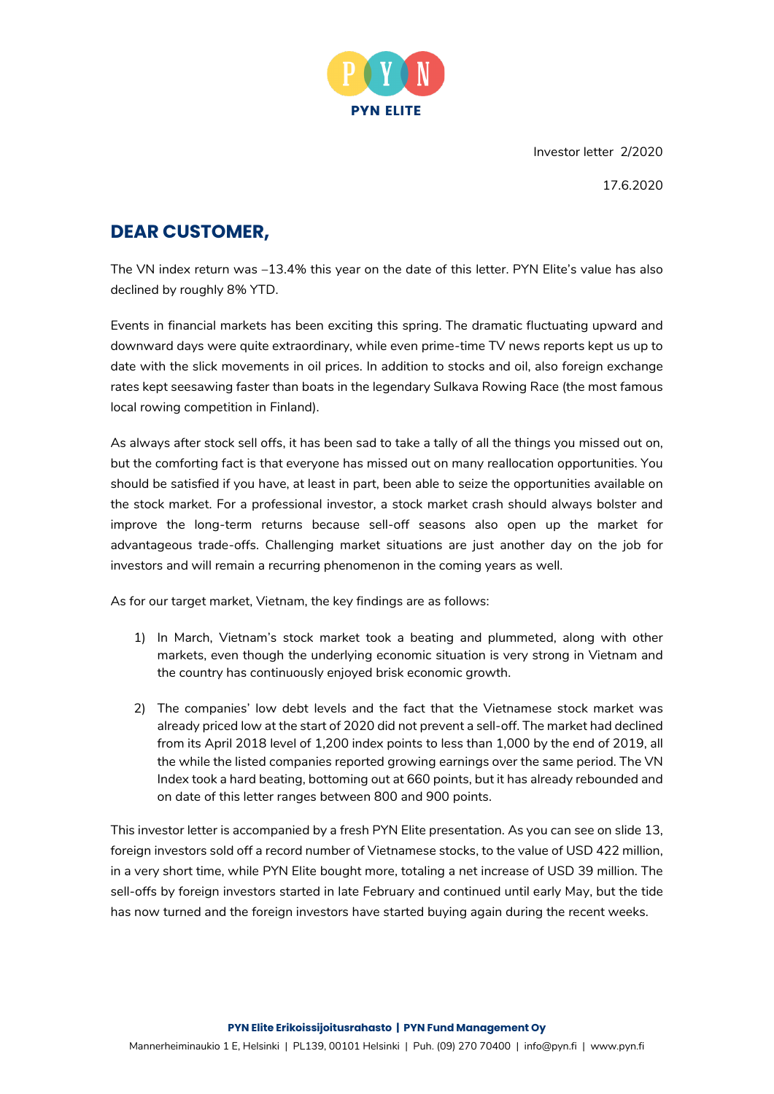

Investor letter 2/2020

17.6.2020

### **DEAR CUSTOMER,**

The VN index return was –13.4% this year on the date of this letter. PYN Elite's value has also declined by roughly 8% YTD.

Events in financial markets has been exciting this spring. The dramatic fluctuating upward and downward days were quite extraordinary, while even prime-time TV news reports kept us up to date with the slick movements in oil prices. In addition to stocks and oil, also foreign exchange rates kept seesawing faster than boats in the legendary Sulkava Rowing Race (the most famous local rowing competition in Finland).

As always after stock sell offs, it has been sad to take a tally of all the things you missed out on, but the comforting fact is that everyone has missed out on many reallocation opportunities. You should be satisfied if you have, at least in part, been able to seize the opportunities available on the stock market. For a professional investor, a stock market crash should always bolster and improve the long-term returns because sell-off seasons also open up the market for advantageous trade-offs. Challenging market situations are just another day on the job for investors and will remain a recurring phenomenon in the coming years as well.

As for our target market, Vietnam, the key findings are as follows:

- 1) In March, Vietnam's stock market took a beating and plummeted, along with other markets, even though the underlying economic situation is very strong in Vietnam and the country has continuously enjoyed brisk economic growth.
- 2) The companies' low debt levels and the fact that the Vietnamese stock market was already priced low at the start of 2020 did not prevent a sell-off. The market had declined from its April 2018 level of 1,200 index points to less than 1,000 by the end of 2019, all the while the listed companies reported growing earnings over the same period. The VN Index took a hard beating, bottoming out at 660 points, but it has already rebounded and on date of this letter ranges between 800 and 900 points.

This investor letter is accompanied by a fresh PYN Elite presentation. As you can see on slide 13, foreign investors sold off a record number of Vietnamese stocks, to the value of USD 422 million, in a very short time, while PYN Elite bought more, totaling a net increase of USD 39 million. The sell-offs by foreign investors started in late February and continued until early May, but the tide has now turned and the foreign investors have started buying again during the recent weeks.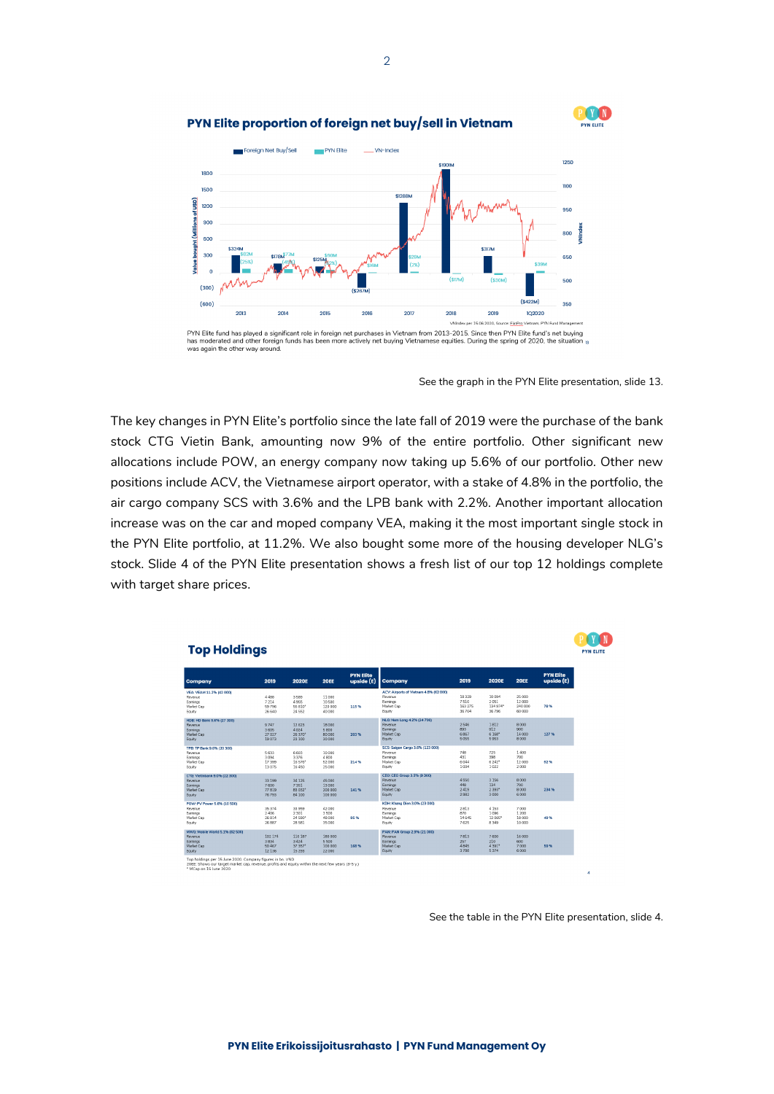

### PYN Elite proportion of foreign net buy/sell in Vietnam



has moderated and other foreign funds has been ,<br>10re actively net buying Vietname equities. During the spring of 2020, the situati was again the other way around

See the graph in the PYN Elite presentation, slide 13.

The key changes in PYN Elite's portfolio since the late fall of 2019 were the purchase of the bank stock CTG Vietin Bank, amounting now 9% of the entire portfolio. Other significant new allocations include POW, an energy company now taking up 5.6% of our portfolio. Other new positions include ACV, the Vietnamese airport operator, with a stake of 4.8% in the portfolio, the air cargo company SCS with 3.6% and the LPB bank with 2.2%. Another important allocation increase was on the car and moped company VEA, making it the most important single stock in the PYN Elite portfolio, at 11.2%. We also bought some more of the housing developer NLG's stock. Slide 4 of the PYN Elite presentation shows a fresh list of our top 12 holdings complete with target share prices.



See the table in the PYN Elite presentation, slide 4.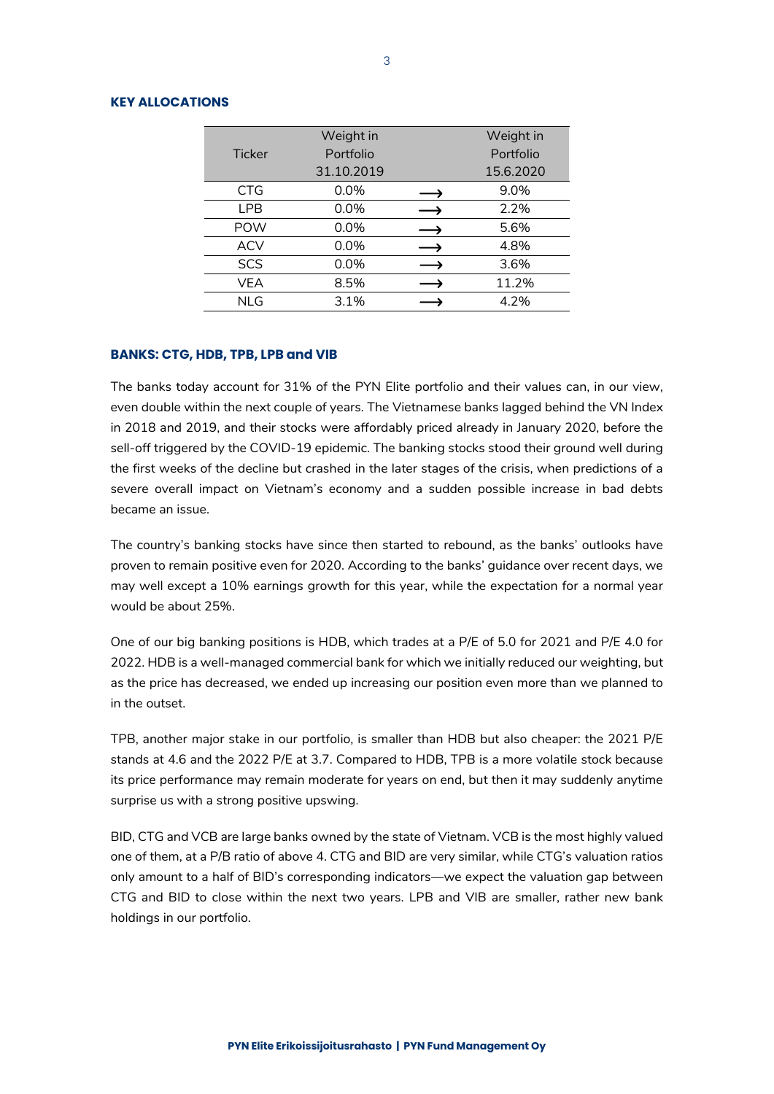### **KEY ALLOCATIONS**

|               | Weight in  | Weight in |
|---------------|------------|-----------|
| <b>Ticker</b> | Portfolio  | Portfolio |
|               | 31.10.2019 | 15.6.2020 |
| <b>CTG</b>    | 0.0%       | 9.0%      |
| <b>LPB</b>    | 0.0%       | 2.2%      |
| <b>POW</b>    | 0.0%       | 5.6%      |
| <b>ACV</b>    | 0.0%       | 4.8%      |
| <b>SCS</b>    | 0.0%       | 3.6%      |
| VEA           | 8.5%       | 11.2%     |
| <b>NLG</b>    | 3.1%       | 4.2%      |

### **BANKS: CTG, HDB, TPB, LPB and VIB**

The banks today account for 31% of the PYN Elite portfolio and their values can, in our view, even double within the next couple of years. The Vietnamese banks lagged behind the VN Index in 2018 and 2019, and their stocks were affordably priced already in January 2020, before the sell-off triggered by the COVID-19 epidemic. The banking stocks stood their ground well during the first weeks of the decline but crashed in the later stages of the crisis, when predictions of a severe overall impact on Vietnam's economy and a sudden possible increase in bad debts became an issue.

The country's banking stocks have since then started to rebound, as the banks' outlooks have proven to remain positive even for 2020. According to the banks' guidance over recent days, we may well except a 10% earnings growth for this year, while the expectation for a normal year would be about 25%.

One of our big banking positions is HDB, which trades at a P/E of 5.0 for 2021 and P/E 4.0 for 2022. HDB is a well-managed commercial bank for which we initially reduced our weighting, but as the price has decreased, we ended up increasing our position even more than we planned to in the outset.

TPB, another major stake in our portfolio, is smaller than HDB but also cheaper: the 2021 P/E stands at 4.6 and the 2022 P/E at 3.7. Compared to HDB, TPB is a more volatile stock because its price performance may remain moderate for years on end, but then it may suddenly anytime surprise us with a strong positive upswing.

BID, CTG and VCB are large banks owned by the state of Vietnam. VCB is the most highly valued one of them, at a P/B ratio of above 4. CTG and BID are very similar, while CTG's valuation ratios only amount to a half of BID's corresponding indicators—we expect the valuation gap between CTG and BID to close within the next two years. LPB and VIB are smaller, rather new bank holdings in our portfolio.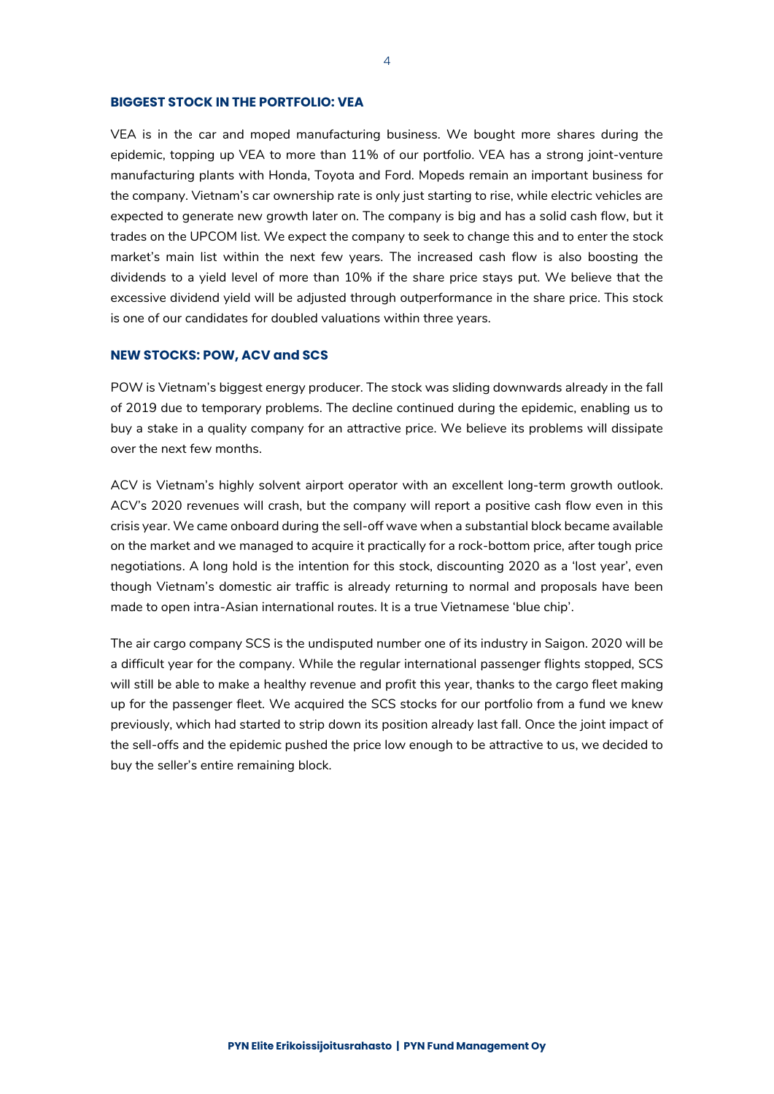### **BIGGEST STOCK IN THE PORTFOLIO: VEA**

VEA is in the car and moped manufacturing business. We bought more shares during the epidemic, topping up VEA to more than 11% of our portfolio. VEA has a strong joint-venture manufacturing plants with Honda, Toyota and Ford. Mopeds remain an important business for the company. Vietnam's car ownership rate is only just starting to rise, while electric vehicles are expected to generate new growth later on. The company is big and has a solid cash flow, but it trades on the UPCOM list. We expect the company to seek to change this and to enter the stock market's main list within the next few years. The increased cash flow is also boosting the dividends to a yield level of more than 10% if the share price stays put. We believe that the excessive dividend yield will be adjusted through outperformance in the share price. This stock is one of our candidates for doubled valuations within three years.

#### **NEW STOCKS: POW, ACV and SCS**

POW is Vietnam's biggest energy producer. The stock was sliding downwards already in the fall of 2019 due to temporary problems. The decline continued during the epidemic, enabling us to buy a stake in a quality company for an attractive price. We believe its problems will dissipate over the next few months.

ACV is Vietnam's highly solvent airport operator with an excellent long-term growth outlook. ACV's 2020 revenues will crash, but the company will report a positive cash flow even in this crisis year. We came onboard during the sell-off wave when a substantial block became available on the market and we managed to acquire it practically for a rock-bottom price, after tough price negotiations. A long hold is the intention for this stock, discounting 2020 as a 'lost year', even though Vietnam's domestic air traffic is already returning to normal and proposals have been made to open intra-Asian international routes. It is a true Vietnamese 'blue chip'.

The air cargo company SCS is the undisputed number one of its industry in Saigon. 2020 will be a difficult year for the company. While the regular international passenger flights stopped, SCS will still be able to make a healthy revenue and profit this year, thanks to the cargo fleet making up for the passenger fleet. We acquired the SCS stocks for our portfolio from a fund we knew previously, which had started to strip down its position already last fall. Once the joint impact of the sell-offs and the epidemic pushed the price low enough to be attractive to us, we decided to buy the seller's entire remaining block.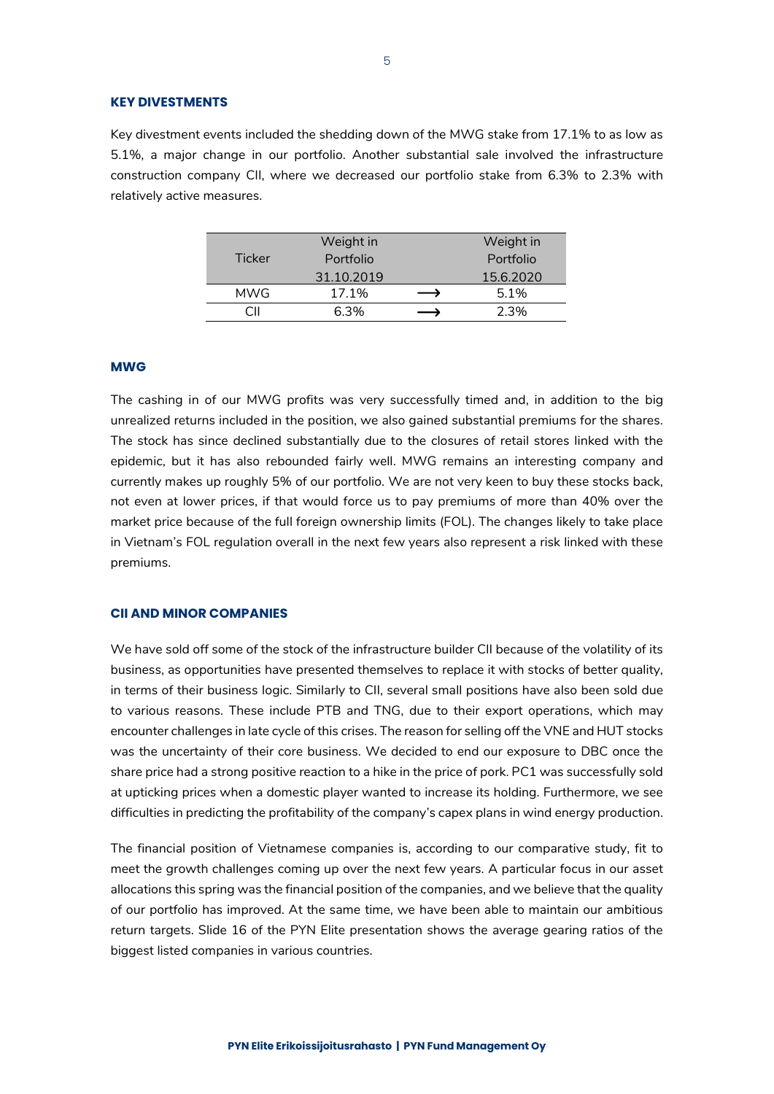#### **KEY DIVESTMENTS**

Key divestment events included the shedding down of the MWG stake from 17.1% to as low as 5.1%, a major change in our portfolio. Another substantial sale involved the infrastructure construction company CII, where we decreased our portfolio stake from 6.3% to 2.3% with relatively active measures.

|               | Weight in  | Weight in |  |  |
|---------------|------------|-----------|--|--|
| <b>Ticker</b> | Portfolio  | Portfolio |  |  |
|               | 31.10.2019 | 15.6.2020 |  |  |
| <b>MWG</b>    | 17.1%      | 5.1%      |  |  |
|               | 6.3%       | 2.3%      |  |  |

### **MWG**

The cashing in of our MWG profits was very successfully timed and, in addition to the big unrealized returns included in the position, we also gained substantial premiums for the shares. The stock has since declined substantially due to the closures of retail stores linked with the epidemic, but it has also rebounded fairly well. MWG remains an interesting company and currently makes up roughly 5% of our portfolio. We are not very keen to buy these stocks back, not even at lower prices, if that would force us to pay premiums of more than 40% over the market price because of the full foreign ownership limits (FOL). The changes likely to take place in Vietnam's FOL regulation overall in the next few years also represent a risk linked with these premiums.

### **CII AND MINOR COMPANIES**

We have sold off some of the stock of the infrastructure builder CII because of the volatility of its business, as opportunities have presented themselves to replace it with stocks of better quality, in terms of their business logic. Similarly to CII, several small positions have also been sold due to various reasons. These include PTB and TNG, due to their export operations, which may encounter challenges in late cycle of this crises. The reason for selling off the VNE and HUT stocks was the uncertainty of their core business. We decided to end our exposure to DBC once the share price had a strong positive reaction to a hike in the price of pork. PC1 was successfully sold at upticking prices when a domestic player wanted to increase its holding. Furthermore, we see difficulties in predicting the profitability of the company's capex plans in wind energy production.

The financial position of Vietnamese companies is, according to our comparative study, fit to meet the growth challenges coming up over the next few years. A particular focus in our asset allocations this spring was the financial position of the companies, and we believe that the quality of our portfolio has improved. At the same time, we have been able to maintain our ambitious return targets. Slide 16 of the PYN Elite presentation shows the average gearing ratios of the biggest listed companies in various countries.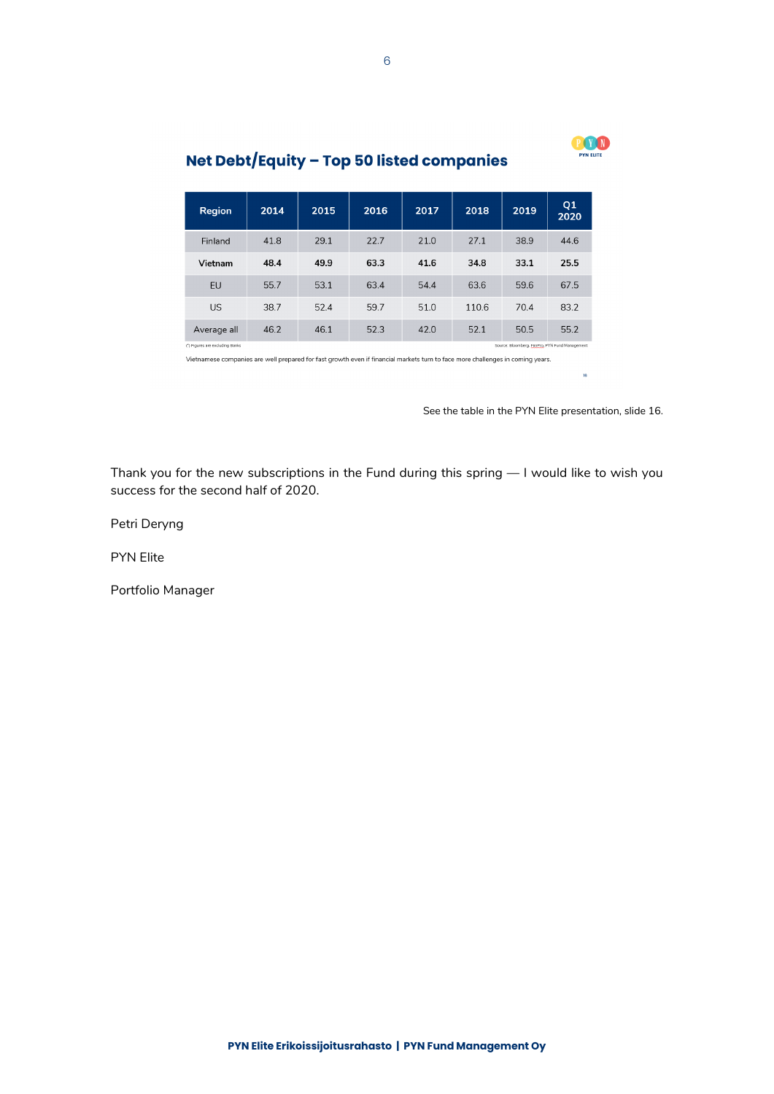

#### Q1<br>2020 Region 2014 2015 2016 2017 2018 2019  $22.7$ Finland 41.8  $29.1$ 21.0  $27.1$ 38.9 44.6 Vietnam 48.4 49.9 63.3 41.6 34.8 33.1 25.5 EU 55.7 53.1 63.4 54.4 63.6 59.6 67.5 US 38.7 52.4 59.7 51.0 110.6 70.4 83.2 46.2 46.1 52.3 42.0  $52.1$ Average all 50.5 55.2 s are excluding Bank no. PYN Fund

### Net Debt/Equity - Top 50 listed companies

Vietnamese companies are well prepared for fast growth even if financial markets turn to face more challenges in coming years.

See the table in the PYN Elite presentation, slide 16.

Thank you for the new subscriptions in the Fund during this spring — I would like to wish you success for the second half of 2020.

Petri Deryng

PYN Elite

Portfolio Manager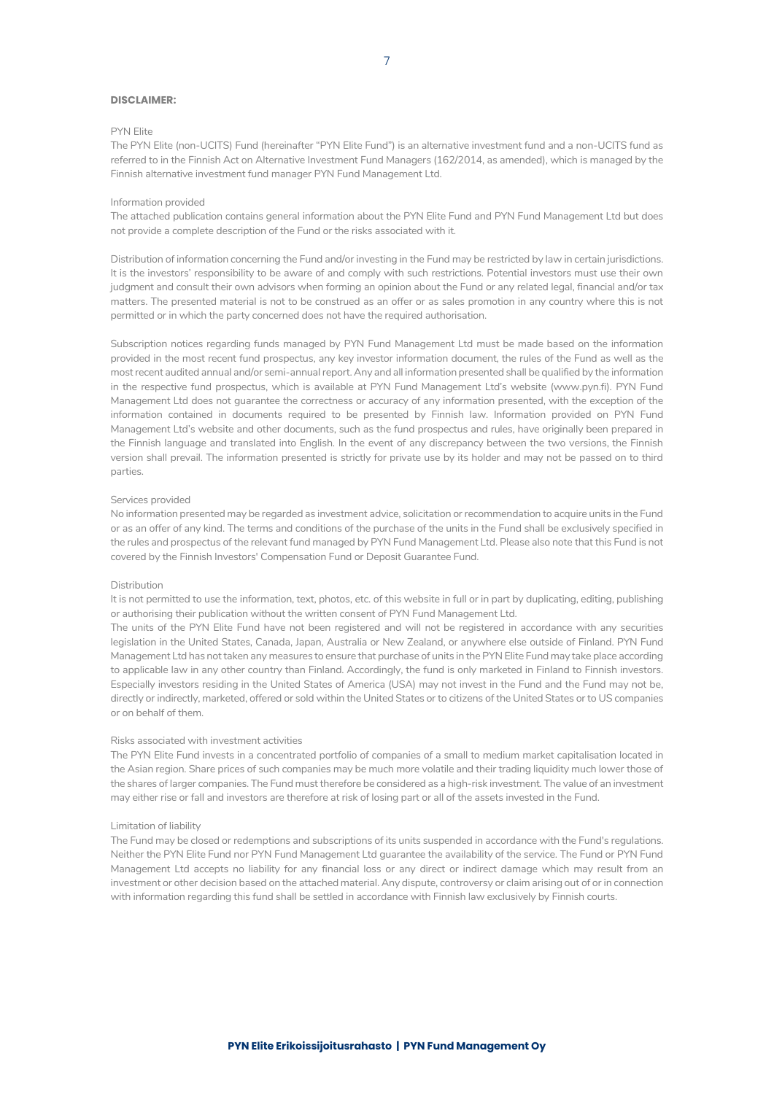#### **DISCLAIMER:**

#### PYN Elite

The PYN Elite (non-UCITS) Fund (hereinafter "PYN Elite Fund") is an alternative investment fund and a non-UCITS fund as referred to in the Finnish Act on Alternative Investment Fund Managers (162/2014, as amended), which is managed by the Finnish alternative investment fund manager PYN Fund Management Ltd.

#### Information provided

The attached publication contains general information about the PYN Elite Fund and PYN Fund Management Ltd but does not provide a complete description of the Fund or the risks associated with it.

Distribution of information concerning the Fund and/or investing in the Fund may be restricted by law in certain jurisdictions. It is the investors' responsibility to be aware of and comply with such restrictions. Potential investors must use their own judgment and consult their own advisors when forming an opinion about the Fund or any related legal, financial and/or tax matters. The presented material is not to be construed as an offer or as sales promotion in any country where this is not permitted or in which the party concerned does not have the required authorisation.

Subscription notices regarding funds managed by PYN Fund Management Ltd must be made based on the information provided in the most recent fund prospectus, any key investor information document, the rules of the Fund as well as the most recent audited annual and/or semi-annual report. Any and all information presented shall be qualified by the information in the respective fund prospectus, which is available at PYN Fund Management Ltd's website (www.pyn.fi). PYN Fund Management Ltd does not guarantee the correctness or accuracy of any information presented, with the exception of the information contained in documents required to be presented by Finnish law. Information provided on PYN Fund Management Ltd's website and other documents, such as the fund prospectus and rules, have originally been prepared in the Finnish language and translated into English. In the event of any discrepancy between the two versions, the Finnish version shall prevail. The information presented is strictly for private use by its holder and may not be passed on to third parties.

#### Services provided

No information presented may be regarded as investment advice, solicitation or recommendation to acquire units in the Fund or as an offer of any kind. The terms and conditions of the purchase of the units in the Fund shall be exclusively specified in the rules and prospectus of the relevant fund managed by PYN Fund Management Ltd. Please also note that this Fund is not covered by the Finnish Investors' Compensation Fund or Deposit Guarantee Fund.

#### Distribution

It is not permitted to use the information, text, photos, etc. of this website in full or in part by duplicating, editing, publishing or authorising their publication without the written consent of PYN Fund Management Ltd.

The units of the PYN Elite Fund have not been registered and will not be registered in accordance with any securities legislation in the United States, Canada, Japan, Australia or New Zealand, or anywhere else outside of Finland. PYN Fund Management Ltd has not taken any measures to ensure that purchase of units in the PYN Elite Fund may take place according to applicable law in any other country than Finland. Accordingly, the fund is only marketed in Finland to Finnish investors. Especially investors residing in the United States of America (USA) may not invest in the Fund and the Fund may not be, directly or indirectly, marketed, offered or sold within the United States or to citizens of the United States or to US companies or on behalf of them.

#### Risks associated with investment activities

The PYN Elite Fund invests in a concentrated portfolio of companies of a small to medium market capitalisation located in the Asian region. Share prices of such companies may be much more volatile and their trading liquidity much lower those of the shares of larger companies. The Fund must therefore be considered as a high-risk investment. The value of an investment may either rise or fall and investors are therefore at risk of losing part or all of the assets invested in the Fund.

#### Limitation of liability

The Fund may be closed or redemptions and subscriptions of its units suspended in accordance with the Fund's regulations. Neither the PYN Elite Fund nor PYN Fund Management Ltd guarantee the availability of the service. The Fund or PYN Fund Management Ltd accepts no liability for any financial loss or any direct or indirect damage which may result from an investment or other decision based on the attached material. Any dispute, controversy or claim arising out of or in connection with information regarding this fund shall be settled in accordance with Finnish law exclusively by Finnish courts.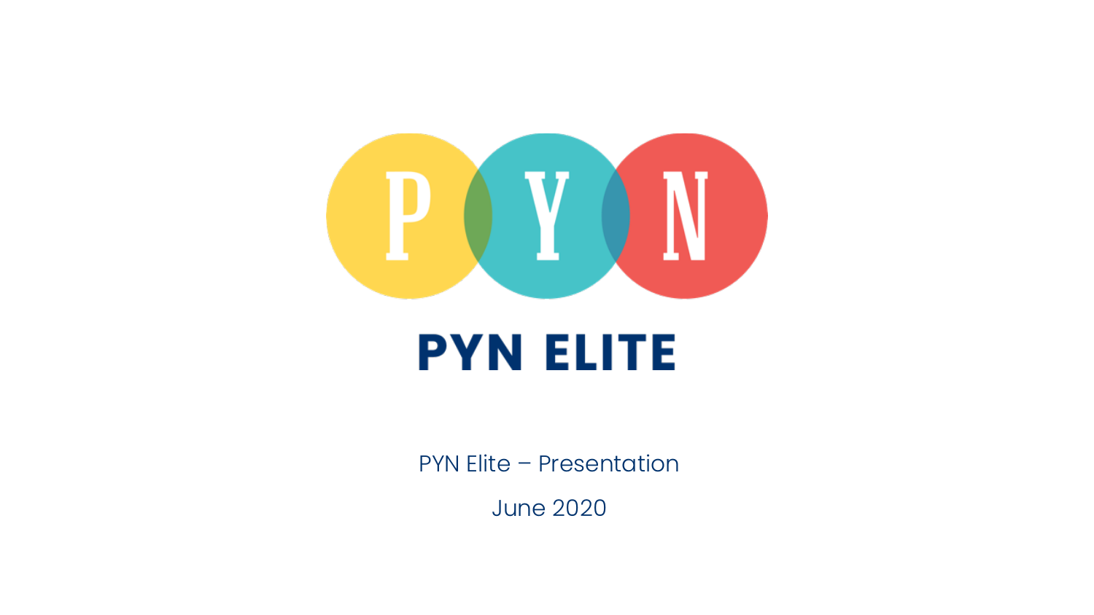

# **PYN ELITE**

PYN Elite – Presentation

June 2020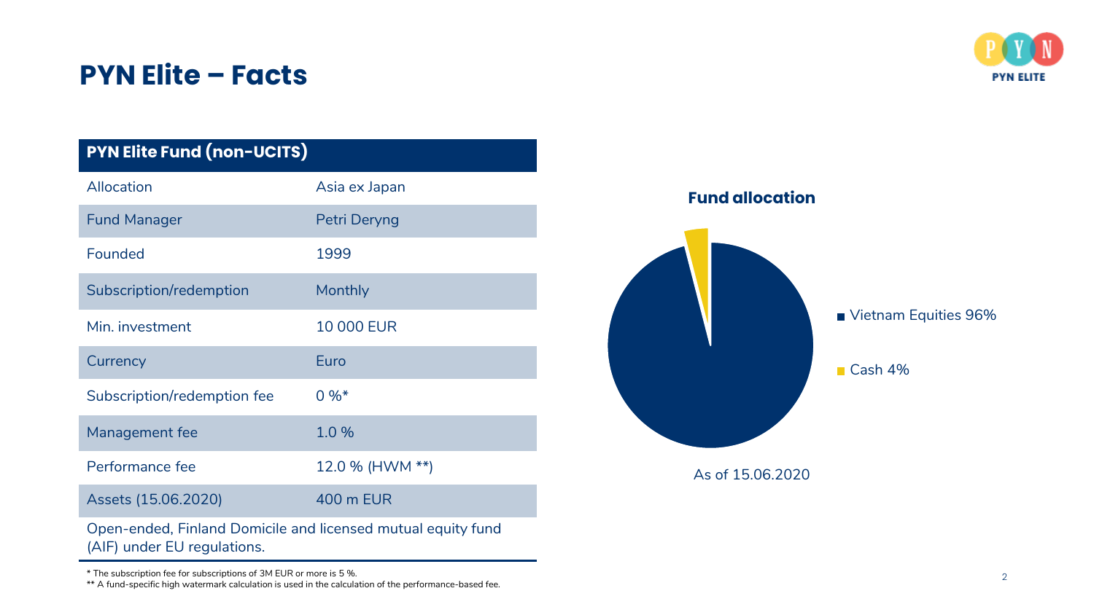\* The subscription fee for subscriptions of 3M EUR or more is 5 %.

\*\* A fund-specific high watermark calculation is used in the calculation of the performance-based fee.

| <b>PYN Elite Fund (non-UCITS)</b> |                                                              |
|-----------------------------------|--------------------------------------------------------------|
| Allocation                        | Asia ex Japan                                                |
| <b>Fund Manager</b>               | Petri Deryng                                                 |
| Founded                           | 1999                                                         |
| Subscription/redemption           | Monthly                                                      |
| Min. investment                   | <b>10 000 EUR</b>                                            |
| Currency                          | Euro                                                         |
| Subscription/redemption fee       | $0 \%$ *                                                     |
| Management fee                    | 1.0%                                                         |
| Performance fee                   | 12.0 % (HWM **)                                              |
| Assets (15.06.2020)               | 400 m EUR                                                    |
| (AIF) under EU regulations.       | Open-ended, Finland Domicile and licensed mutual equity fund |

# **PYN Elite – Facts**

Vietnam Equities 96%

■ Cash 4%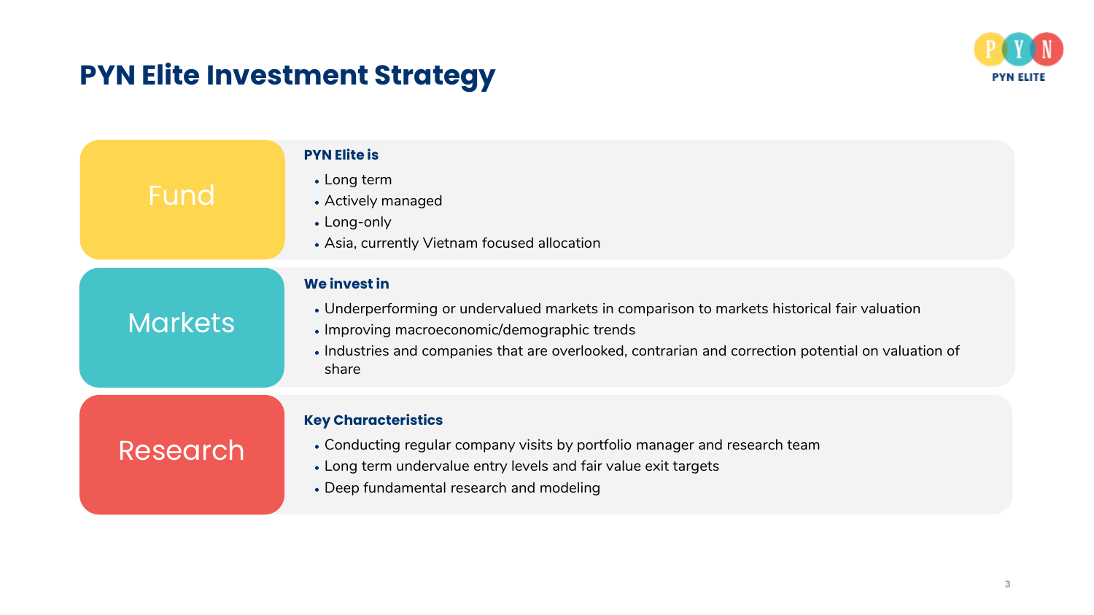# **PYN Elite Investment Strategy**



| Fund            | <b>PYN Elite is</b><br>• Long term<br>• Actively managed<br>• Long-only<br>• Asia, currently Vietnam focused allocation                                                                                                                                                     |
|-----------------|-----------------------------------------------------------------------------------------------------------------------------------------------------------------------------------------------------------------------------------------------------------------------------|
| <b>Markets</b>  | We invest in<br>• Underperforming or undervalued markets in comparison to markets historical fair valuation<br>• Improving macroeconomic/demographic trends<br>• Industries and companies that are overlooked, contrarian and correction potential on valuation of<br>share |
| <b>Research</b> | <b>Key Characteristics</b><br>• Conducting regular company visits by portfolio manager and research team<br>• Long term undervalue entry levels and fair value exit targets<br>• Deep fundamental research and modeling                                                     |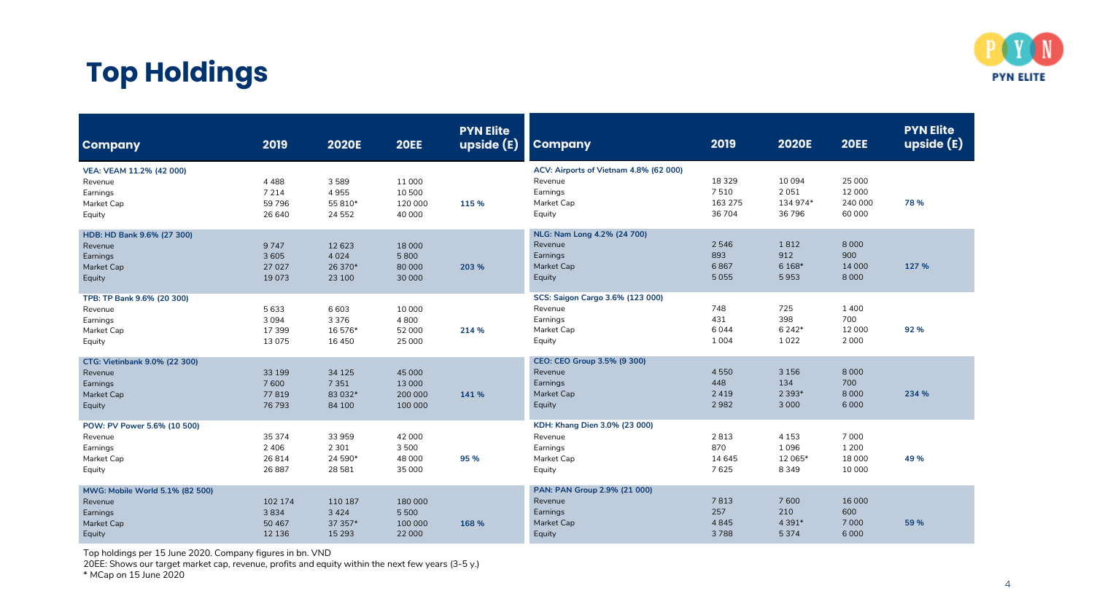

# **Top Holdings**

| <b>Company</b>                                                                 | 2019                                    | <b>2020E</b>                              | <b>20EE</b>                             | <b>PYN Elite</b><br>upside(E) | <b>Company</b>                                                                        | 2019                                 | <b>2020E</b>                          | <b>20EE</b>                            | <b>PYN Elite</b><br>upside (E) |
|--------------------------------------------------------------------------------|-----------------------------------------|-------------------------------------------|-----------------------------------------|-------------------------------|---------------------------------------------------------------------------------------|--------------------------------------|---------------------------------------|----------------------------------------|--------------------------------|
| VEA: VEAM 11.2% (42 000)<br>Revenue<br>Earnings<br>Market Cap<br>Equity        | 4 4 8 8<br>7 2 1 4<br>59 7 96<br>26 640 | 3589<br>4955<br>55 810*<br>24 5 52        | 11 000<br>10 500<br>120 000<br>40 000   | 115 %                         | ACV: Airports of Vietnam 4.8% (62 000)<br>Revenue<br>Earnings<br>Market Cap<br>Equity | 18 3 29<br>7510<br>163 275<br>36 704 | 10 094<br>2051<br>134 974*<br>36796   | 25 000<br>12 000<br>240 000<br>60 000  | 78 %                           |
| HDB: HD Bank 9.6% (27 300)<br>Revenue<br>Earnings<br>Market Cap<br>Equity      | 9747<br>3 6 0 5<br>27 0 27<br>19073     | 12 6 23<br>4 0 2 4<br>26 370*<br>23 100   | 18 000<br>5800<br>80 000<br>30 000      | 203 %                         | NLG: Nam Long 4.2% (24 700)<br>Revenue<br>Earnings<br>Market Cap<br>Equity            | 2 5 4 6<br>893<br>6867<br>5055       | 1812<br>912<br>6 1 68*<br>5953        | 8 0 0 0<br>900<br>14 000<br>8 0 0 0    | 127 %                          |
| TPB: TP Bank 9.6% (20 300)<br>Revenue<br>Earnings<br>Market Cap<br>Equity      | 5633<br>3094<br>17 399<br>13075         | 6 6 0 3<br>3 3 7 6<br>16 576*<br>16 450   | 10 000<br>4800<br>52 000<br>25 000      | 214 %                         | SCS: Saigon Cargo 3.6% (123 000)<br>Revenue<br>Earnings<br>Market Cap<br>Equity       | 748<br>431<br>6044<br>1 0 0 4        | 725<br>398<br>6 2 4 2*<br>1022        | 1400<br>700<br>12 000<br>2 0 0 0       | 92 %                           |
| CTG: Vietinbank 9.0% (22 300)<br>Revenue<br>Earnings<br>Market Cap<br>Equity   | 33 199<br>7600<br>77819<br>76 793       | 34 1 25<br>7 3 5 1<br>83 032*<br>84 100   | 45 000<br>13 000<br>200 000<br>100 000  | 141 %                         | CEO: CEO Group 3.5% (9 300)<br>Revenue<br>Earnings<br>Market Cap<br>Equity            | 4550<br>448<br>2 4 1 9<br>2982       | 3 1 5 6<br>134<br>2 3 9 3*<br>3 0 0 0 | 8 0 0 0<br>700<br>8 0 0 0<br>6000      | 234 %                          |
| POW: PV Power 5.6% (10 500)<br>Revenue<br>Earnings<br>Market Cap<br>Equity     | 35 374<br>2 4 0 6<br>26814<br>26 887    | 33 959<br>2 3 0 1<br>24 590*<br>28 5 8 1  | 42 000<br>3500<br>48 000<br>35 000      | 95 %                          | KDH: Khang Dien 3.0% (23 000)<br>Revenue<br>Earnings<br>Market Cap<br>Equity          | 2813<br>870<br>14 645<br>7625        | 4 1 5 3<br>1096<br>12 065*<br>8349    | 7 0 0 0<br>1 2 0 0<br>18 000<br>10 000 | 49 %                           |
| MWG: Mobile World 5.1% (82 500)<br>Revenue<br>Earnings<br>Market Cap<br>Equity | 102 174<br>3834<br>50 467<br>12 13 6    | 110 187<br>3 4 2 4<br>37 357*<br>15 2 9 3 | 180 000<br>5 5 0 0<br>100 000<br>22 000 | 168 %                         | PAN: PAN Group 2.9% (21 000)<br>Revenue<br>Earnings<br>Market Cap<br>Equity           | 7813<br>257<br>4845<br>3788          | 7600<br>210<br>4 3 9 1 *<br>5374      | 16 000<br>600<br>7 0 0 0<br>6 0 0 0    | 59 %                           |

Top holdings per 15 June 2020. Company figures in bn. VND

20EE: Shows our target market cap, revenue, profits and equity within the next few years (3-5 y.)

\* MCap on 15 June 2020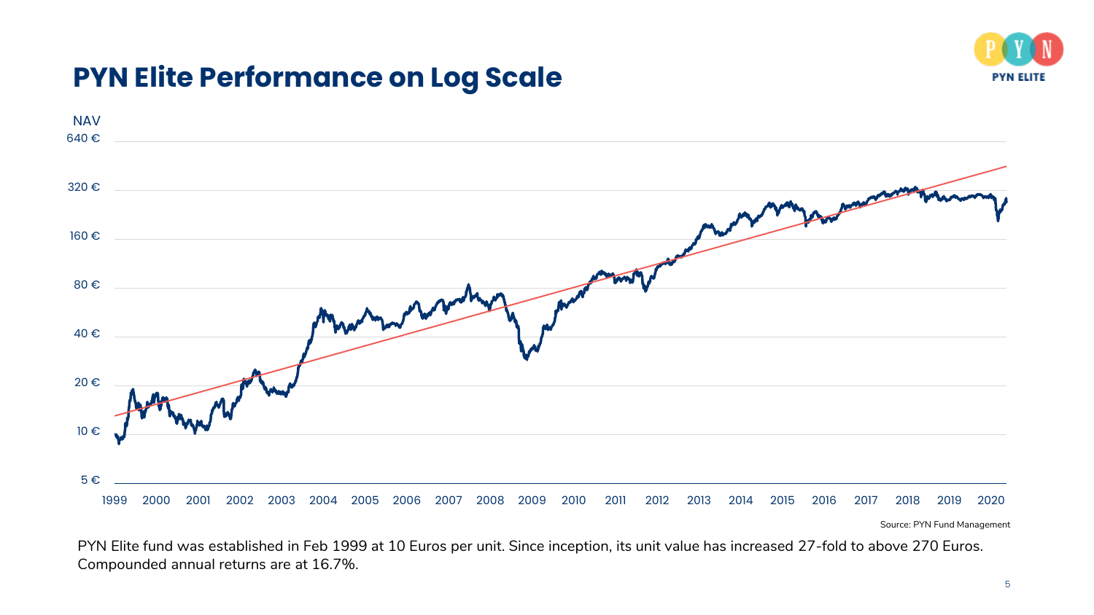

### **PYN Elite Performance on Log Scale**



Source: PYN Fund Management

PYN Elite fund was established in Feb 1999 at 10 Euros per unit. Since inception, its unit value has increased 27-fold to above 270 Euros. Compounded annual returns are at 16.7%.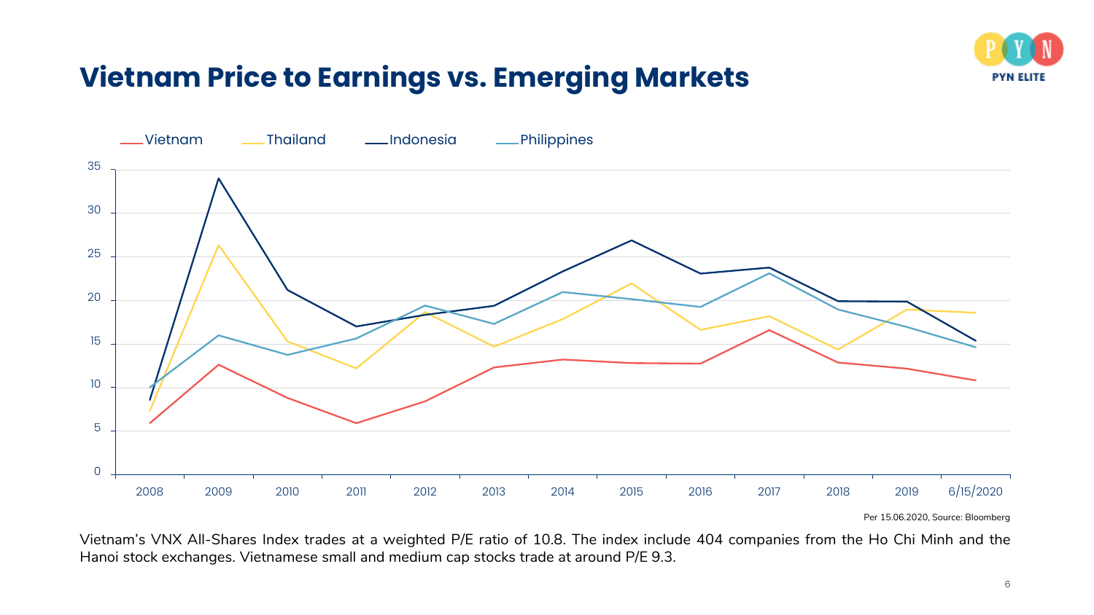

# **Vietnam Price to Earnings vs. Emerging Markets**



Per 15.06.2020, Source: Bloomberg

Vietnam's VNX All-Shares Index trades at a weighted P/E ratio of 10.8. The index include 404 companies from the Ho Chi Minh and the Hanoi stock exchanges. Vietnamese small and medium cap stocks trade at around P/E 9.3.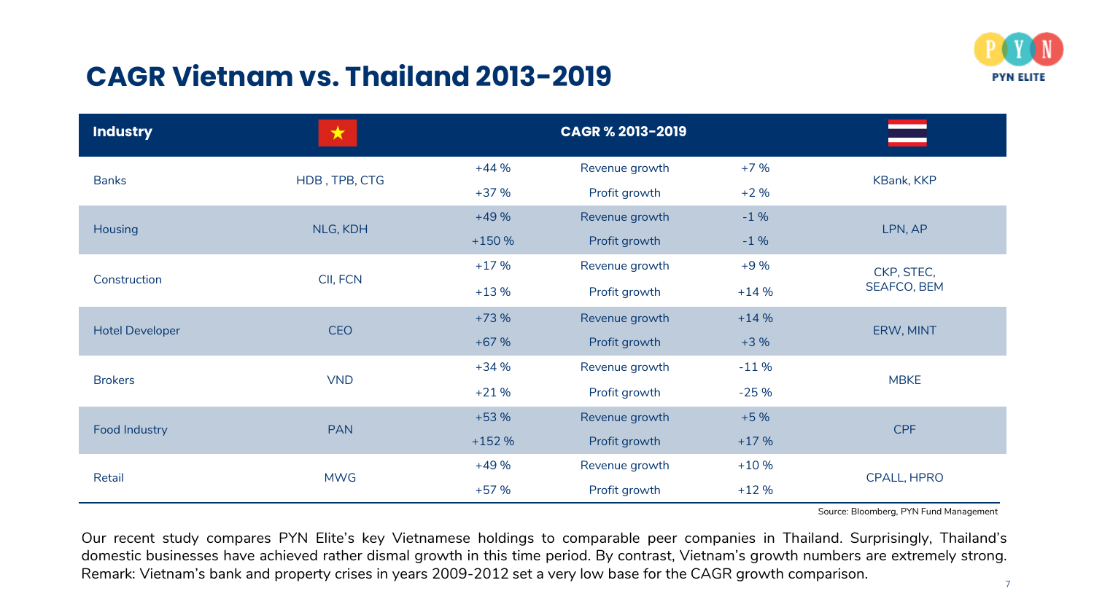### **CAGR Vietnam vs. Thailand 2013-2019**



| <b>Industry</b>        | $\bigstar$    | <b>CAGR % 2013-2019</b> |                |        |             |  |
|------------------------|---------------|-------------------------|----------------|--------|-------------|--|
| <b>Banks</b>           | HDB, TPB, CTG | $+44%$                  | Revenue growth | $+7%$  | KBank, KKP  |  |
|                        |               | $+37%$                  | Profit growth  | $+2%$  |             |  |
| <b>Housing</b>         | NLG, KDH      | $+49%$                  | Revenue growth | $-1%$  | LPN, AP     |  |
|                        |               | $+150%$                 | Profit growth  | $-1%$  |             |  |
|                        | CII, FCN      | $+17%$                  | Revenue growth | $+9%$  | CKP, STEC,  |  |
| Construction           |               | $+13%$                  | Profit growth  | $+14%$ | SEAFCO, BEM |  |
| <b>Hotel Developer</b> | <b>CEO</b>    | $+73%$                  | Revenue growth | $+14%$ | ERW, MINT   |  |
|                        |               | $+67%$                  | Profit growth  | $+3%$  |             |  |
| <b>Brokers</b>         | <b>VND</b>    | $+34%$                  | Revenue growth | $-11%$ | <b>MBKE</b> |  |
|                        |               | $+21%$                  | Profit growth  | $-25%$ |             |  |
| <b>Food Industry</b>   | <b>PAN</b>    | $+53%$                  | Revenue growth | $+5%$  | CPF         |  |
|                        |               | $+152%$                 | Profit growth  | $+17%$ |             |  |
| Retail                 | <b>MWG</b>    | $+49%$                  | Revenue growth | $+10%$ | CPALL, HPRO |  |
|                        |               | $+57%$                  | Profit growth  | $+12%$ |             |  |

Source: Bloomberg, PYN Fund Management

Our recent study compares PYN Elite's key Vietnamese holdings to comparable peer companies in Thailand. Surprisingly, Thailand's domestic businesses have achieved rather dismal growth in this time period. By contrast, Vietnam's growth numbers are extremely strong. Remark: Vietnam's bank and property crises in years 2009-2012 set a very low base for the CAGR growth comparison.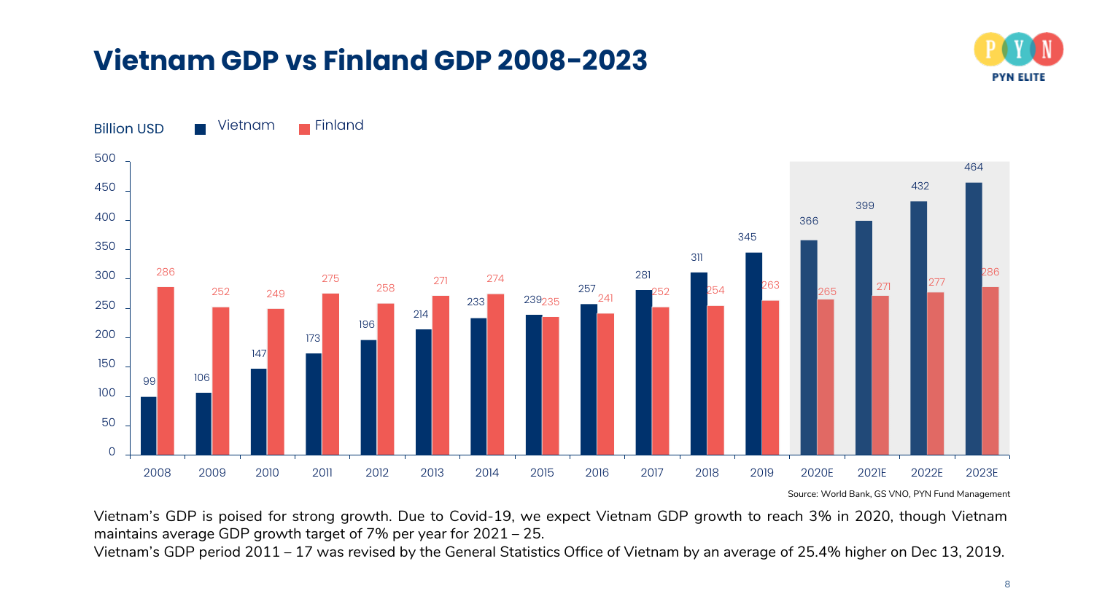### **Vietnam GDP vs Finland GDP 2008-2023**





Source: World Bank, GS VNO, PYN Fund Management

Vietnam's GDP is poised for strong growth. Due to Covid-19, we expect Vietnam GDP growth to reach 3% in 2020, though Vietnam maintains average GDP growth target of 7% per year for 2021 – 25.

Vietnam's GDP period 2011 – 17 was revised by the General Statistics Office of Vietnam by an average of 25.4% higher on Dec 13, 2019.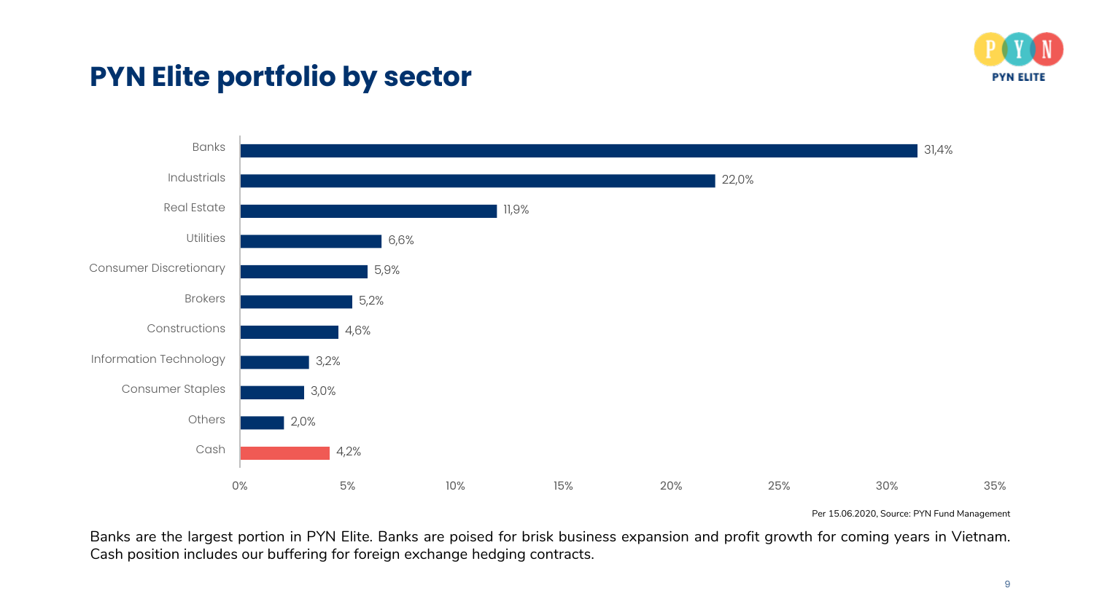

### **PYN Elite portfolio by sector**



Per 15.06.2020, Source: PYN Fund Management

Banks are the largest portion in PYN Elite. Banks are poised for brisk business expansion and profit growth for coming years in Vietnam. Cash position includes our buffering for foreign exchange hedging contracts.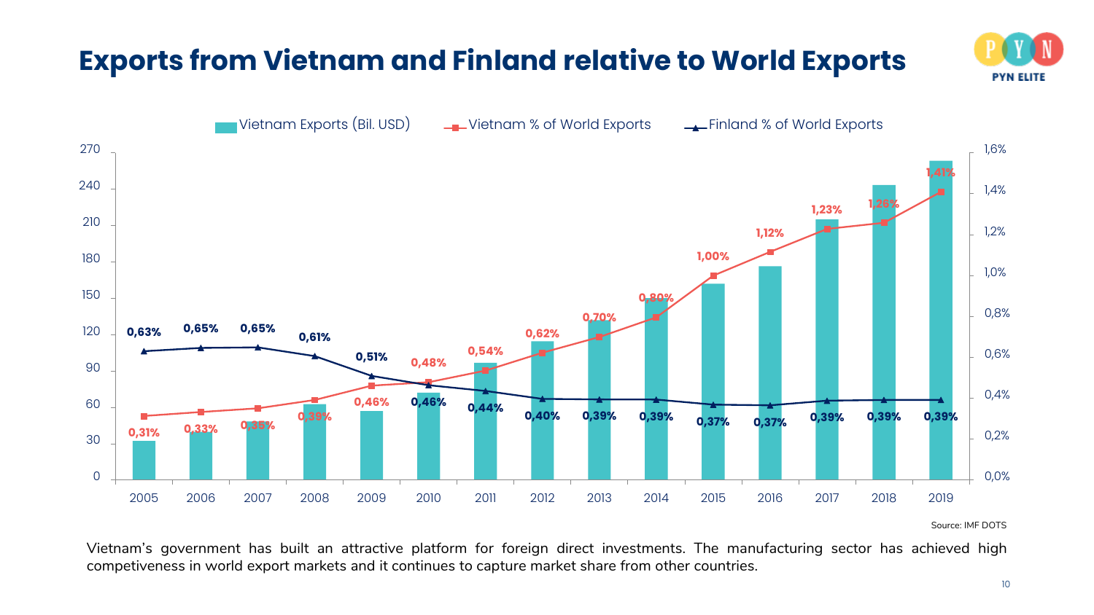# **Exports from Vietnam and Finland relative to World Exports**





Source: IMF DOTS

Vietnam's government has built an attractive platform for foreign direct investments. The manufacturing sector has achieved high competiveness in world export markets and it continues to capture market share from other countries.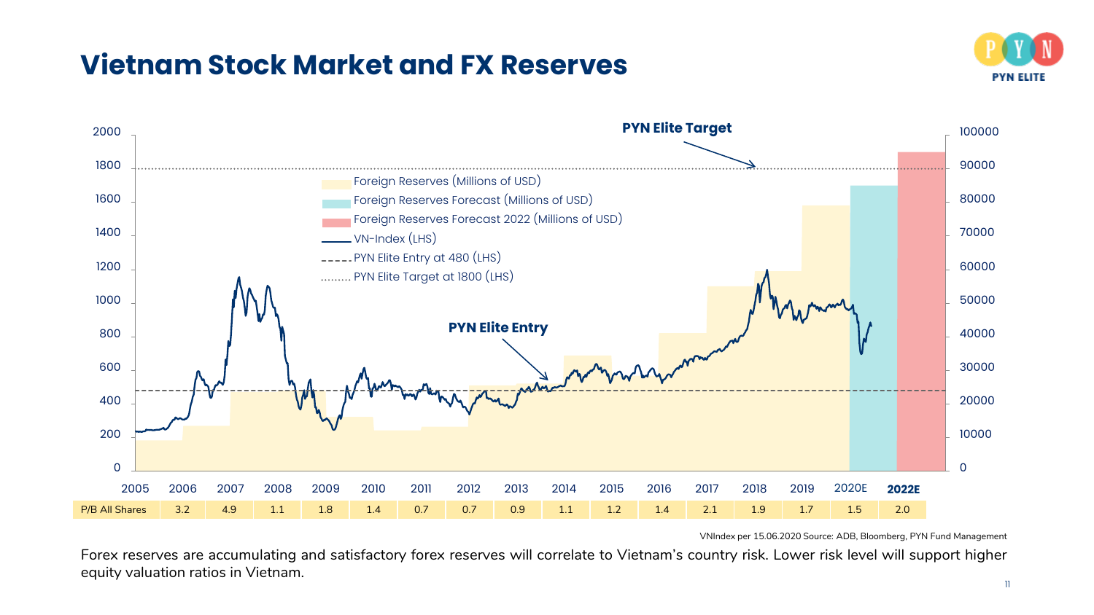### **Vietnam Stock Market and FX Reserves**





VNIndex per 15.06.2020 Source: ADB, Bloomberg, PYN Fund Management

Forex reserves are accumulating and satisfactory forex reserves will correlate to Vietnam's country risk. Lower risk level will support higher equity valuation ratios in Vietnam.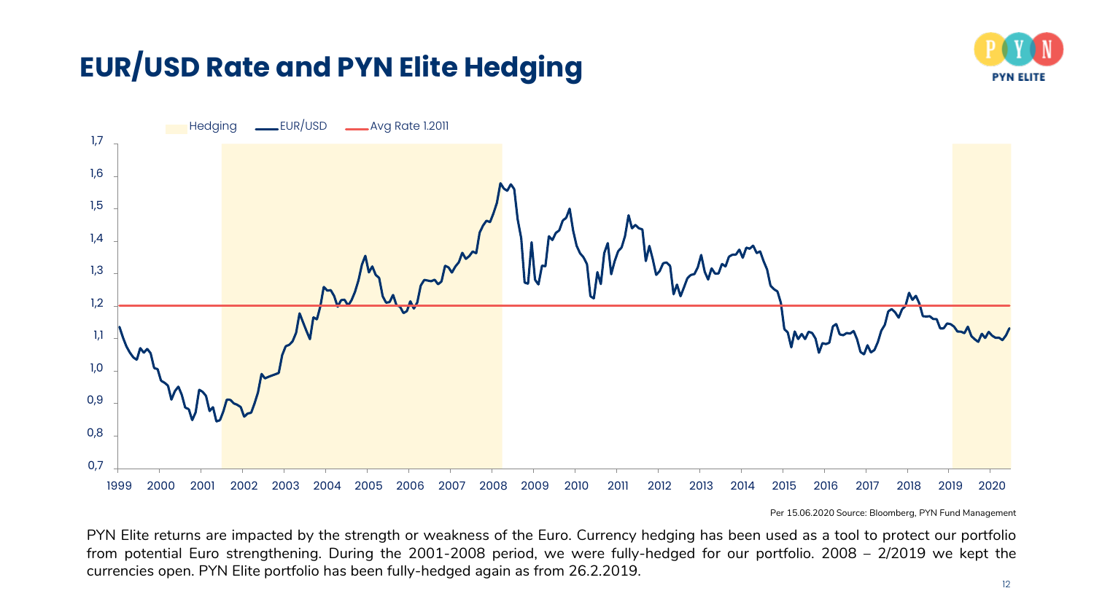# **EUR/USD Rate and PYN Elite Hedging**





Per 15.06.2020 Source: Bloomberg, PYN Fund Management

PYN Elite returns are impacted by the strength or weakness of the Euro. Currency hedging has been used as a tool to protect our portfolio from potential Euro strengthening. During the 2001-2008 period, we were fully-hedged for our portfolio. 2008 – 2/2019 we kept the currencies open. PYN Elite portfolio has been fully-hedged again as from 26.2.2019.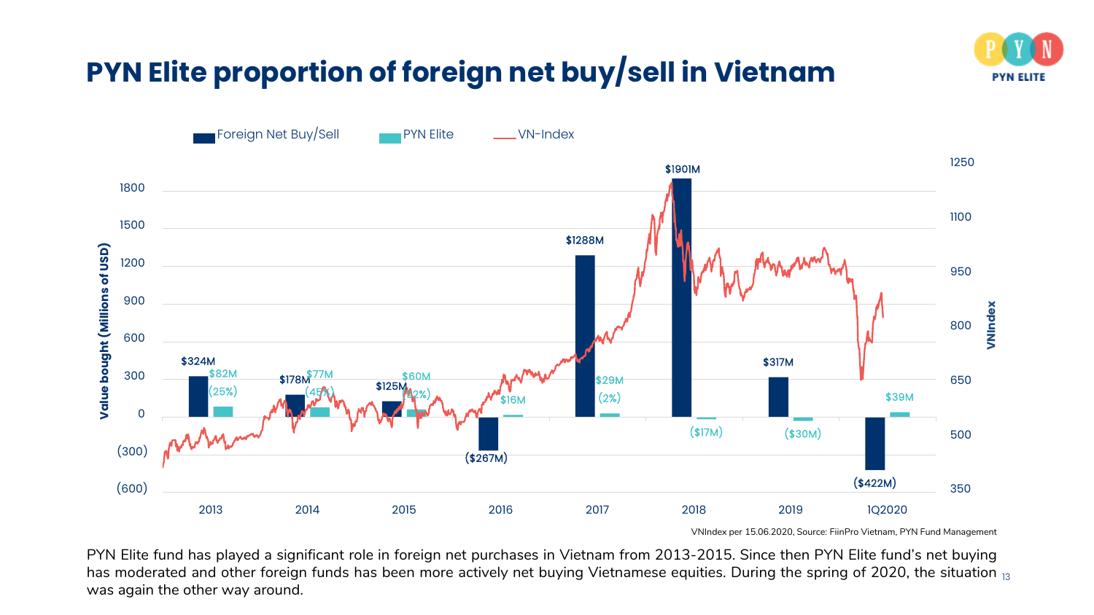

# **PYN Elite proportion of foreign net buy/sell in Vietnam**



VNIndex per 15.06.2020, Source: FiinPro Vietnam, PYN Fund Management

PYN Elite fund has played a significant role in foreign net purchases in Vietnam from 2013-2015. Since then PYN Elite fund's net buying has moderated and other foreign funds has been more actively net buying Vietnamese equities. During the spring of 2020, the situation  $_{\rm 13}$ was again the other way around.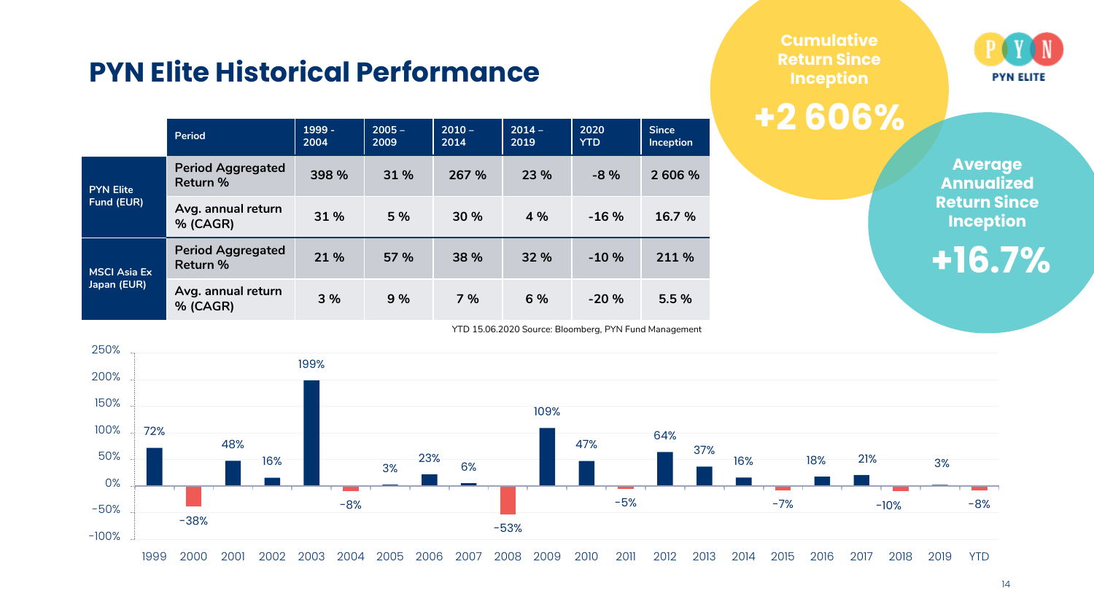### **PYN Elite Historical Performance**

|                                    | Period                               | $1999 -$<br>2004 | $2005 -$<br>2009 | $2010 -$<br>2014 | $2014 -$<br>2019 | 2020<br><b>YTD</b> | <b>Since</b><br><b>Inception</b> |
|------------------------------------|--------------------------------------|------------------|------------------|------------------|------------------|--------------------|----------------------------------|
| <b>PYN Elite</b><br>Fund (EUR)     | <b>Period Aggregated</b><br>Return % | 398 %            | 31 %             | 267 %            | 23 %             | $-8%$              | 2 606 %                          |
|                                    | Avg. annual return<br>% (CAGR)       | 31 %             | 5 %              | 30 %             | 4 %              | $-16%$             | 16.7 %                           |
| <b>MSCI Asia Ex</b><br>Japan (EUR) | <b>Period Aggregated</b><br>Return % | 21 %             | 57 %             | 38 %             | 32 %             | $-10%$             | 211 %                            |
|                                    | Avg. annual return<br>% (CAGR)       | 3 %              | 9 %              | 7%               | 6 %              | $-20%$             | 5.5 %                            |

YTD 15.06.2020 Source: Bloomberg, PYN Fund Management



**+2 606%**



**Average Annualized Return Since Inception**

**+16.7%**



#### 14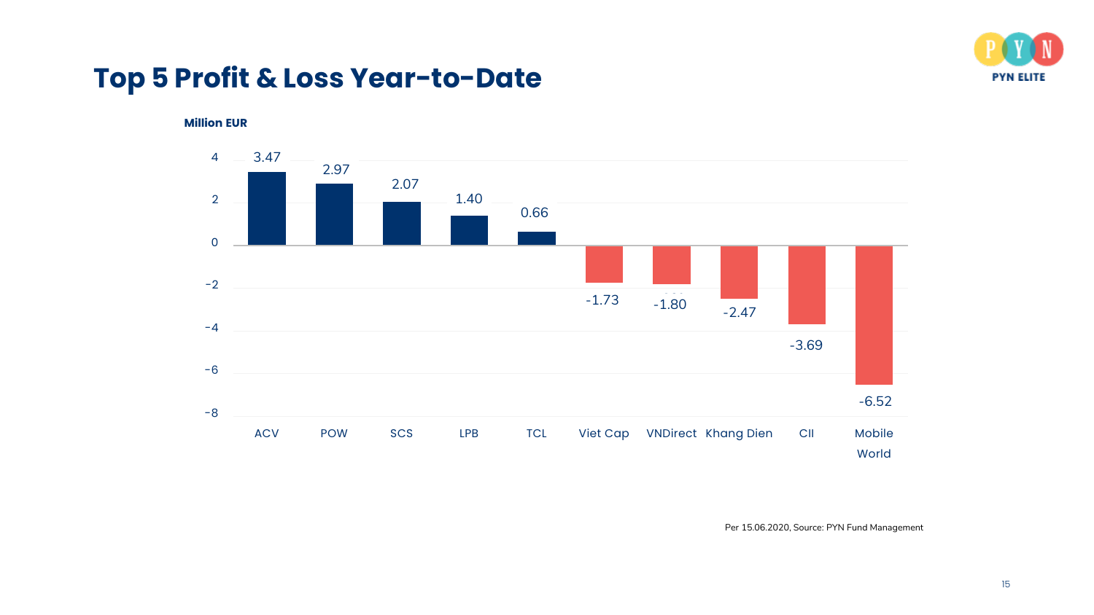

### **Top 5 Profit & Loss Year-to-Date**

**Million EUR**



Per 15.06.2020, Source: PYN Fund Management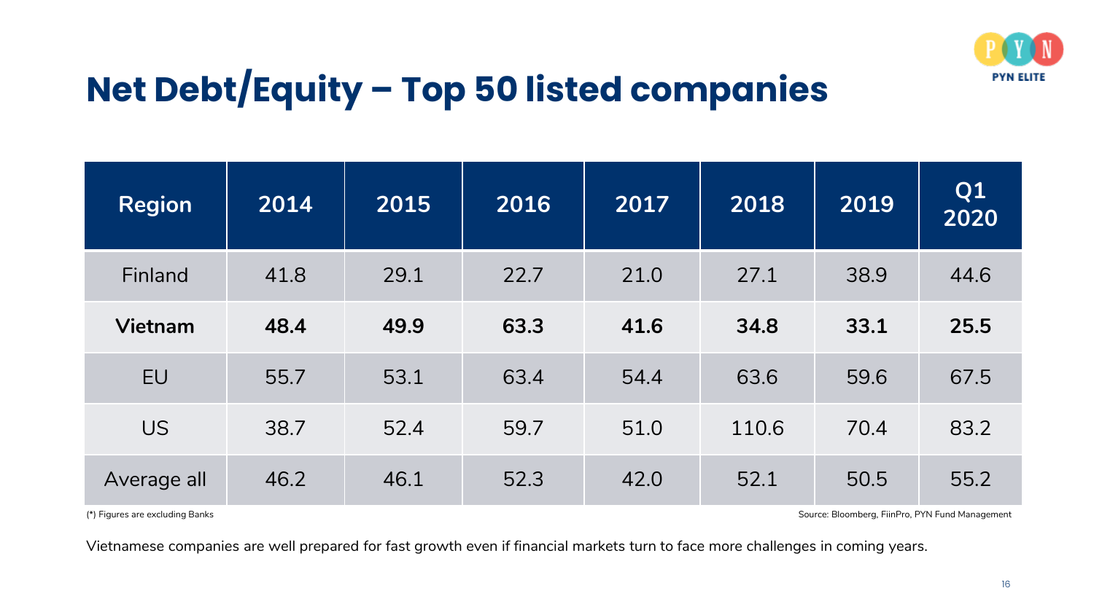

# **Net Debt/Equity – Top 50 listed companies**

| <b>Region</b>  | 2014 | 2015 | 2016 | 2017 | 2018  | 2019 | Q <sub>1</sub><br>2020 |
|----------------|------|------|------|------|-------|------|------------------------|
| Finland        | 41.8 | 29.1 | 22.7 | 21.0 | 27.1  | 38.9 | 44.6                   |
| <b>Vietnam</b> | 48.4 | 49.9 | 63.3 | 41.6 | 34.8  | 33.1 | 25.5                   |
| <b>EU</b>      | 55.7 | 53.1 | 63.4 | 54.4 | 63.6  | 59.6 | 67.5                   |
| <b>US</b>      | 38.7 | 52.4 | 59.7 | 51.0 | 110.6 | 70.4 | 83.2                   |
| Average all    | 46.2 | 46.1 | 52.3 | 42.0 | 52.1  | 50.5 | 55.2                   |

(\*) Figures are excluding Banks Source: Bloomberg, FiinPro, PYN Fund Management

Vietnamese companies are well prepared for fast growth even if financial markets turn to face more challenges in coming years.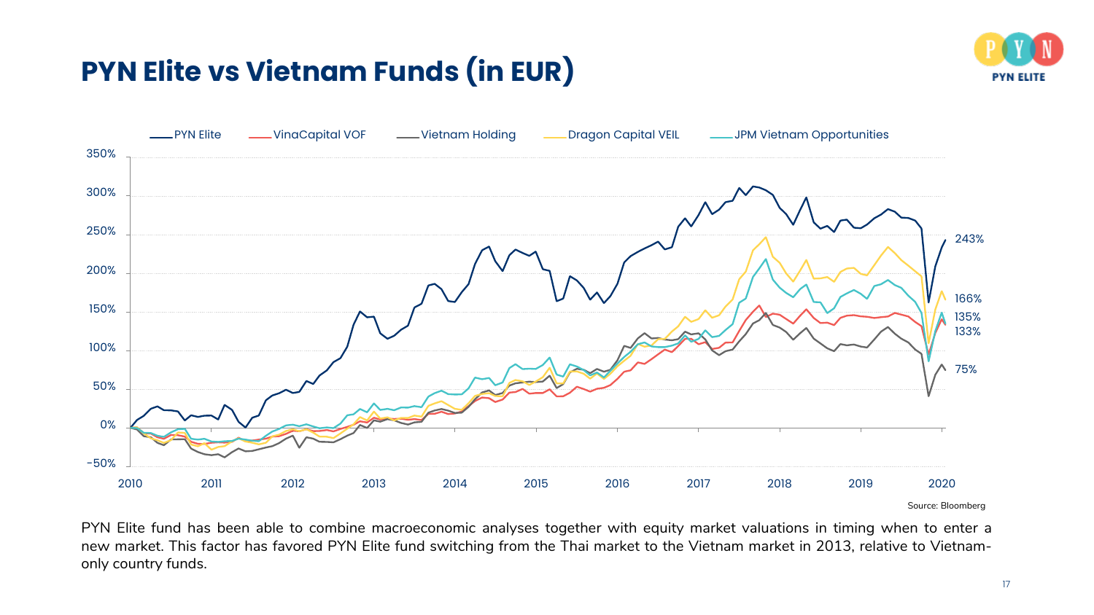# **PYN Elite vs Vietnam Funds (in EUR)**





Source: Bloomberg

PYN Elite fund has been able to combine macroeconomic analyses together with equity market valuations in timing when to enter a new market. This factor has favored PYN Elite fund switching from the Thai market to the Vietnam market in 2013, relative to Vietnamonly country funds.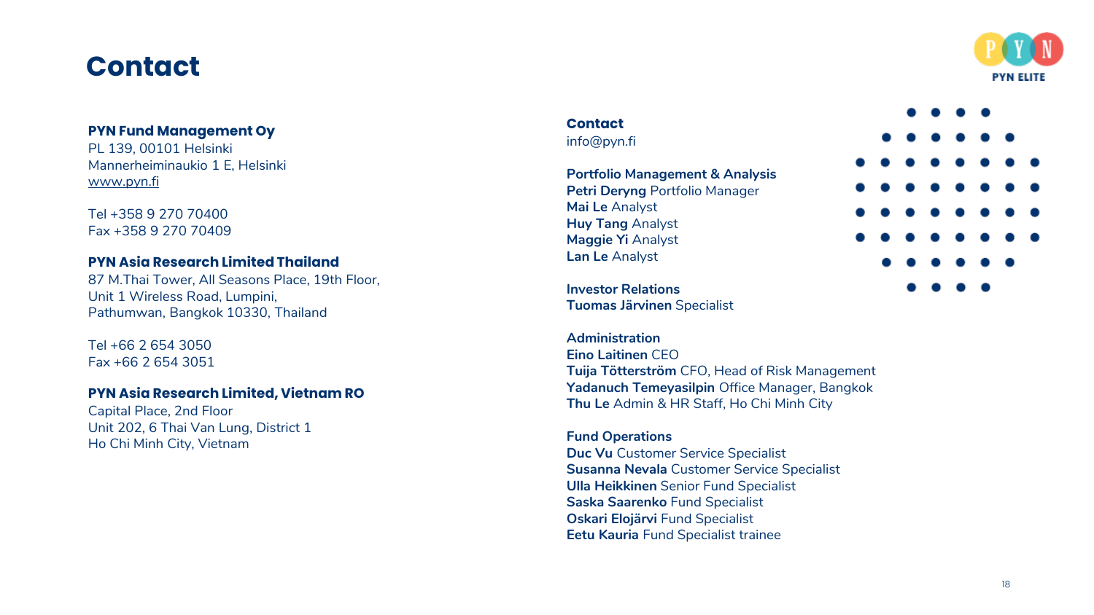### **Contact**

![](_page_24_Picture_1.jpeg)

### **PYN Fund Management Oy**

PL 139, 00101 Helsinki Mannerheiminaukio 1 E, Helsinki [www.pyn.fi](http://www.pyn.fi/)

Tel +358 9 270 70400 Fax +358 9 270 70409

### **PYN Asia Research Limited Thailand**

87 M.Thai Tower, All Seasons Place, 19th Floor , Unit 1 Wireless Road, Lumpini , Pathumwan, Bangkok 10330, Thailand

Tel +66 2 654 3050 Fax +66 2 654 3051

### **PYN Asia Research Limited, Vietnam RO**

Capital Place, 2nd Floor Unit 202, 6 Thai Van Lung, District 1 Ho Chi Minh City, Vietnam

### **Contact** info@pyn.fi

**Portfolio Management & Analysis Petri Deryng** Portfolio Manager **Mai Le** Analyst **Huy Tang** Analyst **Maggie Yi** Analyst **Lan Le** Analyst

![](_page_24_Figure_12.jpeg)

**Investor Relations Tuomas Järvinen** Specialist

**Administration Eino Laitinen** CEO **Tuija Tötterström** CFO, Head of Risk Management **Yadanuch Temeyasilpin** Office Manager, Bangkok **Thu Le** Admin & HR Staff, Ho Chi Minh City

### **Fund Operations**

**Duc Vu** Customer Service Specialist **Susanna Nevala** Customer Service Specialist **Ulla Heikkinen** Senior Fund Specialist **Saska Saarenko** Fund Specialist **Oskari Elojärvi** Fund Specialist **Eetu Kauria** Fund Specialist trainee